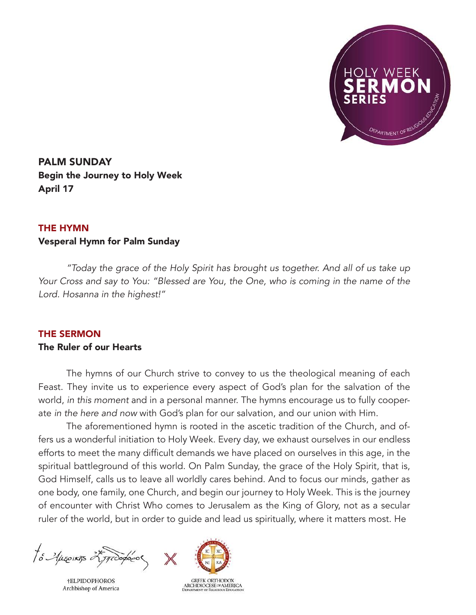

PALM SUNDAY Begin the Journey to Holy Week April 17

## THE HYMN

## Vesperal Hymn for Palm Sunday

*"Today the grace of the Holy Spirit has brought us together. And all of us take up Your Cross and say to You: "Blessed are You, the One, who is coming in the name of the Lord. Hosanna in the highest!"*

## THE SERMON

## The Ruler of our Hearts

The hymns of our Church strive to convey to us the theological meaning of each Feast. They invite us to experience every aspect of God's plan for the salvation of the world, *in this moment* and in a personal manner. The hymns encourage us to fully cooperate *in the here and now* with God's plan for our salvation, and our union with Him.

The aforementioned hymn is rooted in the ascetic tradition of the Church, and offers us a wonderful initiation to Holy Week. Every day, we exhaust ourselves in our endless efforts to meet the many difficult demands we have placed on ourselves in this age, in the spiritual battleground of this world. On Palm Sunday, the grace of the Holy Spirit, that is, God Himself, calls us to leave all worldly cares behind. And to focus our minds, gather as one body, one family, one Church, and begin our journey to Holy Week. This is the journey of encounter with Christ Who comes to Jerusalem as the King of Glory, not as a secular ruler of the world, but in order to guide and lead us spiritually, where it matters most. He

to Auseinas 25 produco

**†ELPIDOPHOROS** Archbishop of America